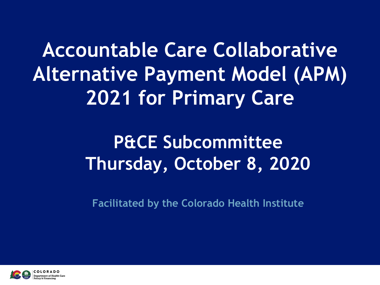**Accountable Care Collaborative Alternative Payment Model (APM) 2021 for Primary Care**

## **P&CE Subcommittee Thursday, October 8, 2020**

**Facilitated by the Colorado Health Institute**

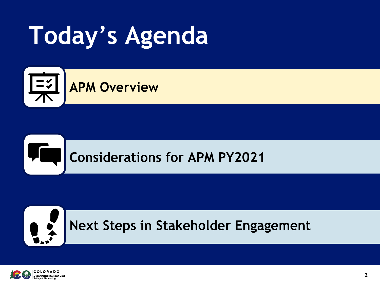# **Today's Agenda**



#### YE. **Considerations for APM PY2021**



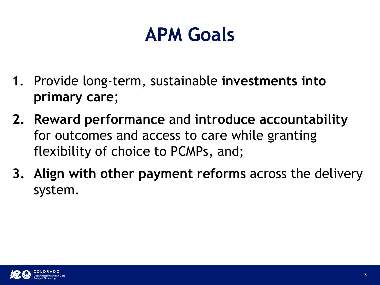## **APM Goals**

- 1. Provide long-term, sustainable **investments into primary care**;
- **2. Reward performance** and **introduce accountability**  for outcomes and access to care while granting flexibility of choice to PCMPs, and;
- **3. Align with other payment reforms** across the delivery system.

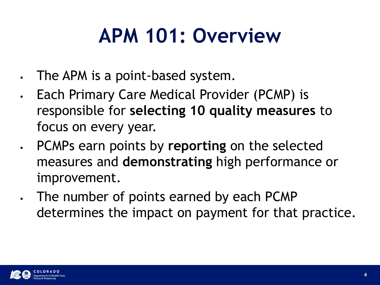## **APM 101: Overview**

- The APM is a point-based system.
- Each Primary Care Medical Provider (PCMP) is responsible for **selecting 10 quality measures** to focus on every year.
- PCMPs earn points by **reporting** on the selected measures and **demonstrating** high performance or improvement.
- The number of points earned by each PCMP determines the impact on payment for that practice.

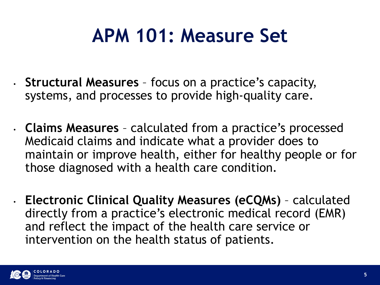## **APM 101: Measure Set**

- **Structural Measures**  focus on a practice's capacity, systems, and processes to provide high-quality care.
- **Claims Measures**  calculated from a practice's processed Medicaid claims and indicate what a provider does to maintain or improve health, either for healthy people or for those diagnosed with a health care condition.
- **Electronic Clinical Quality Measures (eCQMs)**  calculated directly from a practice's electronic medical record (EMR) and reflect the impact of the health care service or intervention on the health status of patients.

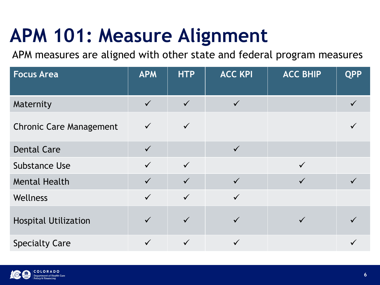## **APM 101: Measure Alignment**

APM measures are aligned with other state and federal program measures

| <b>Focus Area</b>              | <b>APM</b>   | <b>HTP</b>   | <b>ACC KPI</b> | <b>ACC BHIP</b> | <b>QPP</b> |
|--------------------------------|--------------|--------------|----------------|-----------------|------------|
| Maternity                      | $\checkmark$ | $\checkmark$ | $\checkmark$   |                 |            |
| <b>Chronic Care Management</b> | $\checkmark$ | $\checkmark$ |                |                 |            |
| <b>Dental Care</b>             | $\checkmark$ |              | $\checkmark$   |                 |            |
| <b>Substance Use</b>           | $\checkmark$ | $\checkmark$ |                | $\checkmark$    |            |
| <b>Mental Health</b>           | $\checkmark$ | $\checkmark$ | $\checkmark$   | $\checkmark$    |            |
| Wellness                       | $\checkmark$ | $\checkmark$ | $\checkmark$   |                 |            |
| <b>Hospital Utilization</b>    | $\checkmark$ | $\checkmark$ | $\checkmark$   | $\checkmark$    |            |
| <b>Specialty Care</b>          | $\checkmark$ | $\checkmark$ | $\checkmark$   |                 |            |

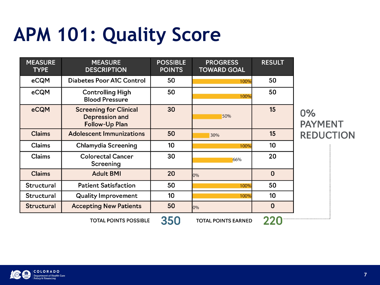## **APM 101: Quality Score**

| <b>MEASURE</b><br><b>TYPE</b> | <b>MEASURE</b><br><b>DESCRIPTION</b>                                            | <b>POSSIBLE</b><br><b>POINTS</b> | <b>PROGRESS</b><br><b>TOWARD GOAL</b> | <b>RESULT</b> |                      |
|-------------------------------|---------------------------------------------------------------------------------|----------------------------------|---------------------------------------|---------------|----------------------|
| eCQM                          | <b>Diabetes Poor A1C Control</b>                                                | 50                               | 100%                                  | 50            |                      |
| eCQM                          | <b>Controlling High</b><br><b>Blood Pressure</b>                                | 50                               | 100%                                  | 50            |                      |
| eCQM                          | <b>Screening for Clinical</b><br><b>Depression and</b><br><b>Follow-Up Plan</b> | 30                               | 50%                                   | 15            | 0%<br><b>PAYMENT</b> |
| <b>Claims</b>                 | <b>Adolescent Immunizations</b>                                                 | 50                               | 30%                                   | 15            | <b>REDUCTION</b>     |
| <b>Claims</b>                 | <b>Chlamydia Screening</b>                                                      | 10                               | 100%                                  | 10            |                      |
| <b>Claims</b>                 | <b>Colorectal Cancer</b><br>Screening                                           | 30                               | 66%                                   | 20            |                      |
| <b>Claims</b>                 | <b>Adult BMI</b>                                                                | 20                               | 0%                                    | $\mathbf 0$   |                      |
| Structural                    | <b>Patient Satisfaction</b>                                                     | 50                               | 100%                                  | 50            |                      |
| Structural                    | <b>Quality Improvement</b>                                                      | 10                               | 100%                                  | 10            |                      |
| <b>Structural</b>             | <b>Accepting New Patients</b>                                                   | 50                               | 0%                                    | $\mathbf 0$   |                      |
|                               | <b>TOTAL POINTS POSSIBLE</b>                                                    | 350                              | <b>TOTAL POINTS EARNED</b>            |               |                      |

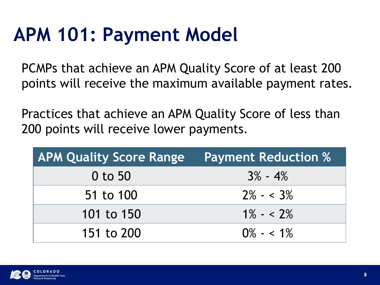## **APM 101: Payment Model**

PCMPs that achieve an APM Quality Score of at least 200 points will receive the maximum available payment rates.

Practices that achieve an APM Quality Score of less than 200 points will receive lower payments.

| <b>APM Quality Score Range</b> | <b>Payment Reduction %</b> |
|--------------------------------|----------------------------|
| 0 to 50                        | $3\% - 4\%$                |
| 51 to 100                      | $2\% - 3\%$                |
| 101 to 150                     | $1\% - 2\%$                |
| 151 to 200                     | $0\% - 5.1\%$              |

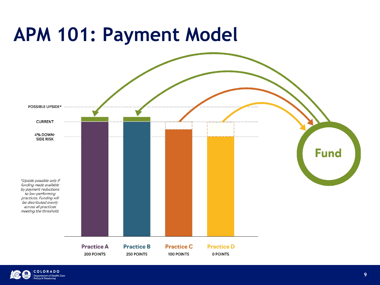## **APM 101: Payment Model**



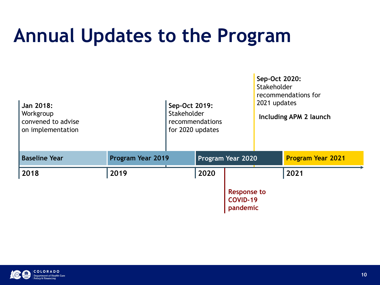## **Annual Updates to the Program**

| Jan 2018:<br>Workgroup<br>convened to advise<br>on implementation |                   | Sep-Oct 2019:<br>Stakeholder<br>recommendations<br>for 2020 updates |                                                   | Sep-Oct 2020:<br>Stakeholder<br>recommendations for<br>2021 updates<br><b>Including APM 2 launch</b> |                          |
|-------------------------------------------------------------------|-------------------|---------------------------------------------------------------------|---------------------------------------------------|------------------------------------------------------------------------------------------------------|--------------------------|
| <b>Baseline Year</b>                                              | Program Year 2019 |                                                                     | Program Year 2020                                 |                                                                                                      | <b>Program Year 2021</b> |
| 2018                                                              | 2019              | 2020                                                                |                                                   |                                                                                                      | 2021                     |
|                                                                   |                   |                                                                     | <b>Response to</b><br><b>COVID-19</b><br>pandemic |                                                                                                      |                          |

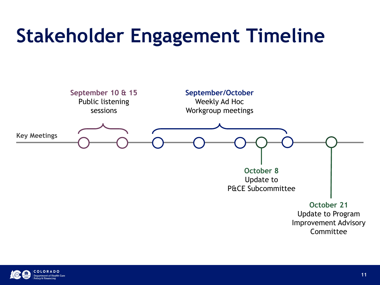## **Stakeholder Engagement Timeline**



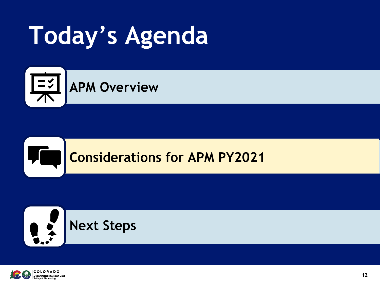# **Today's Agenda**



#### **Considerations for APM PY2021**





**VC.**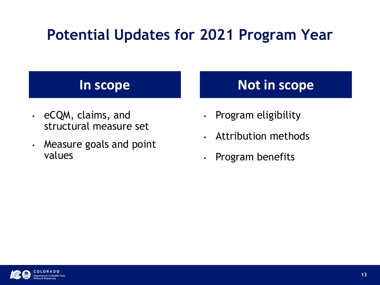#### **Potential Updates for 2021 Program Year**

- eCQM, claims, and structural measure set
- Measure goals and point values

#### **In scope Not in scope**

- Program eligibility
- Attribution methods
- Program benefits

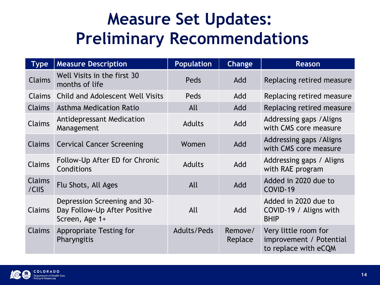### **Measure Set Updates: Preliminary Recommendations**

| <b>Type</b>            | <b>Measure Description</b>                                                     | <b>Population</b>  | <b>Change</b>      | Reason                                                                  |
|------------------------|--------------------------------------------------------------------------------|--------------------|--------------------|-------------------------------------------------------------------------|
| <b>Claims</b>          | Well Visits in the first 30<br>months of life                                  | Peds               | Add                | Replacing retired measure                                               |
| Claims                 | <b>Child and Adolescent Well Visits</b>                                        | Peds               | Add                | Replacing retired measure                                               |
| <b>Claims</b>          | Asthma Medication Ratio                                                        | All                | Add                | Replacing retired measure                                               |
| <b>Claims</b>          | <b>Antidepressant Medication</b><br>Management                                 | <b>Adults</b>      | Add                | Addressing gaps / Aligns<br>with CMS core measure                       |
| <b>Claims</b>          | <b>Cervical Cancer Screening</b>                                               | Women              | Add                | Addressing gaps / Aligns<br>with CMS core measure                       |
| <b>Claims</b>          | Follow-Up After ED for Chronic<br>Conditions                                   | <b>Adults</b>      | Add                | Addressing gaps / Aligns<br>with RAE program                            |
| <b>Claims</b><br>/CIIS | Flu Shots, All Ages                                                            | All                | Add                | Added in 2020 due to<br>COVID-19                                        |
| <b>Claims</b>          | Depression Screening and 30-<br>Day Follow-Up After Positive<br>Screen, Age 1+ | All                | Add                | Added in 2020 due to<br>COVID-19 / Aligns with<br><b>BHIP</b>           |
| <b>Claims</b>          | <b>Appropriate Testing for</b><br>Pharyngitis                                  | <b>Adults/Peds</b> | Remove/<br>Replace | Very little room for<br>improvement / Potential<br>to replace with eCQM |

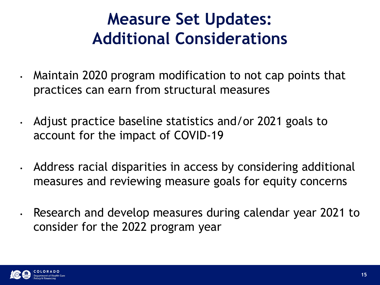### **Measure Set Updates: Additional Considerations**

- Maintain 2020 program modification to not cap points that practices can earn from structural measures
- Adjust practice baseline statistics and/or 2021 goals to account for the impact of COVID-19
- Address racial disparities in access by considering additional measures and reviewing measure goals for equity concerns
	- Research and develop measures during calendar year 2021 to consider for the 2022 program year

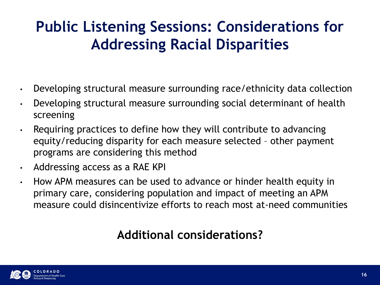#### **Public Listening Sessions: Considerations for Addressing Racial Disparities**

- Developing structural measure surrounding race/ethnicity data collection
- Developing structural measure surrounding social determinant of health screening
- Requiring practices to define how they will contribute to advancing equity/reducing disparity for each measure selected – other payment programs are considering this method
- Addressing access as a RAE KPI
- How APM measures can be used to advance or hinder health equity in primary care, considering population and impact of meeting an APM measure could disincentivize efforts to reach most at-need communities

#### **Additional considerations?**

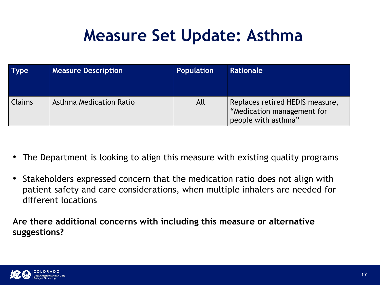### **Measure Set Update: Asthma**

| <b>Type</b>   | <b>Measure Description</b> | <b>Population</b> | <b>Rationale</b>                                                                     |
|---------------|----------------------------|-------------------|--------------------------------------------------------------------------------------|
| <b>Claims</b> | Asthma Medication Ratio    | All               | Replaces retired HEDIS measure,<br>"Medication management for<br>people with asthma" |

- The Department is looking to align this measure with existing quality programs
- Stakeholders expressed concern that the medication ratio does not align with patient safety and care considerations, when multiple inhalers are needed for different locations

**Are there additional concerns with including this measure or alternative suggestions?**

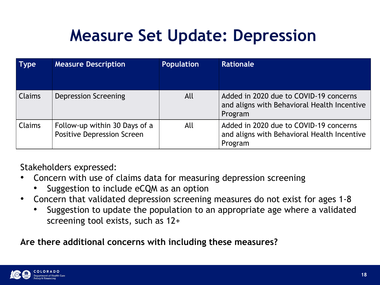### **Measure Set Update: Depression**

| <b>Type</b>   | <b>Measure Description</b>                                         | Population | <b>Rationale</b>                                                                                 |
|---------------|--------------------------------------------------------------------|------------|--------------------------------------------------------------------------------------------------|
| <b>Claims</b> | <b>Depression Screening</b>                                        | All        | Added in 2020 due to COVID-19 concerns<br>and aligns with Behavioral Health Incentive<br>Program |
| <b>Claims</b> | Follow-up within 30 Days of a<br><b>Positive Depression Screen</b> | All        | Added in 2020 due to COVID-19 concerns<br>and aligns with Behavioral Health Incentive<br>Program |

Stakeholders expressed:

- Concern with use of claims data for measuring depression screening
	- Suggestion to include eCQM as an option
- Concern that validated depression screening measures do not exist for ages 1-8
	- Suggestion to update the population to an appropriate age where a validated screening tool exists, such as 12+

**Are there additional concerns with including these measures?**

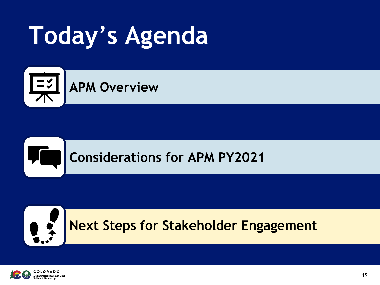# **Today's Agenda**







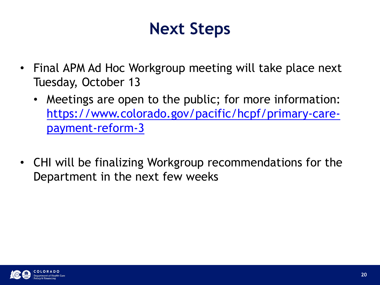### **Next Steps**

- Final APM Ad Hoc Workgroup meeting will take place next Tuesday, October 13
	- Meetings are open to the public; for more information: [https://www.colorado.gov/pacific/hcpf/primary-care](https://www.colorado.gov/pacific/hcpf/primary-care-payment-reform-3)payment-reform-3
- CHI will be finalizing Workgroup recommendations for the Department in the next few weeks